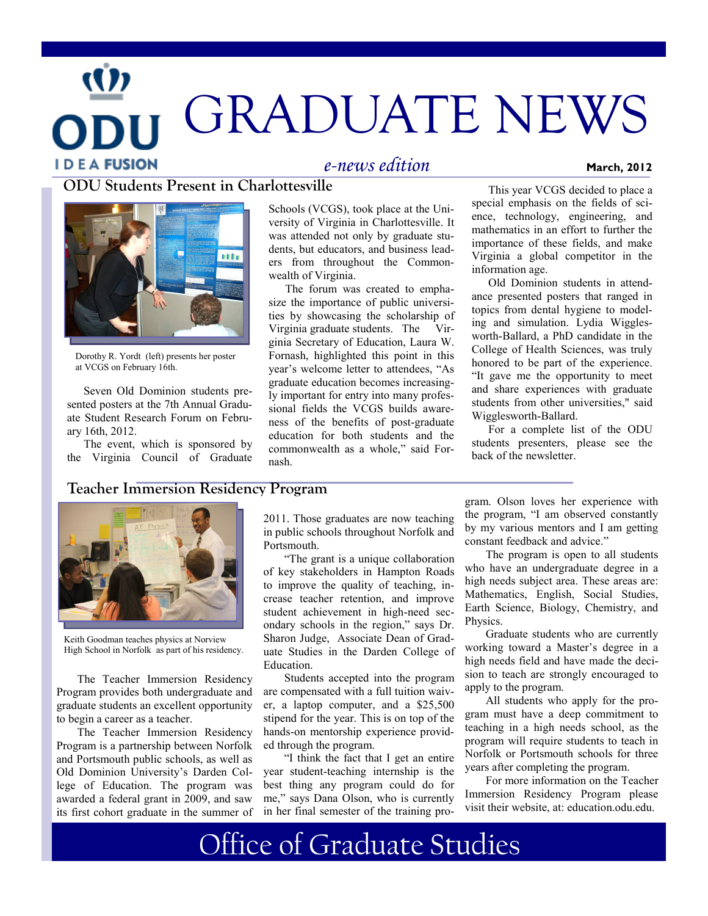# GRADUATE NEWS **IDEAFUSION** *e-news edition* **March, 2012**

#### **ODU Students Present in Charlottesville**



Dorothy R. Yordt (left) presents her poster at VCGS on February 16th.

Seven Old Dominion students presented posters at the 7th Annual Graduate Student Research Forum on February 16th, 2012.

The event, which is sponsored by the Virginia Council of Graduate

Schools (VCGS), took place at the University of Virginia in Charlottesville. It was attended not only by graduate students, but educators, and business leaders from throughout the Commonwealth of Virginia.

The forum was created to emphasize the importance of public universities by showcasing the scholarship of Virginia graduate students. The Virginia Secretary of Education, Laura W. Fornash, highlighted this point in this year's welcome letter to attendees, "As graduate education becomes increasingly important for entry into many professional fields the VCGS builds awareness of the benefits of post-graduate education for both students and the commonwealth as a whole," said Fornash.

This year VCGS decided to place a special emphasis on the fields of science, technology, engineering, and mathematics in an effort to further the importance of these fields, and make Virginia a global competitor in the information age.

Old Dominion students in attendance presented posters that ranged in topics from dental hygiene to modeling and simulation. Lydia Wigglesworth-Ballard, a PhD candidate in the College of Health Sciences, was truly honored to be part of the experience. "It gave me the opportunity to meet and share experiences with graduate students from other universities," said Wigglesworth-Ballard.

For a complete list of the ODU students presenters, please see the back of the newsletter

#### **Teacher Immersion Residency Program**



Keith Goodman teaches physics at Norview High School in Norfolk as part of his residency.

The Teacher Immersion Residency Program provides both undergraduate and graduate students an excellent opportunity to begin a career as a teacher.

The Teacher Immersion Residency Program is a partnership between Norfolk and Portsmouth public schools, as well as Old Dominion University's Darden College of Education. The program was awarded a federal grant in 2009, and saw its first cohort graduate in the summer of 2011. Those graduates are now teaching in public schools throughout Norfolk and Portsmouth.

"The grant is a unique collaboration of key stakeholders in Hampton Roads to improve the quality of teaching, increase teacher retention, and improve student achievement in high-need secondary schools in the region," says Dr. Sharon Judge, Associate Dean of Graduate Studies in the Darden College of Education.

Students accepted into the program are compensated with a full tuition waiver, a laptop computer, and a \$25,500 stipend for the year. This is on top of the hands-on mentorship experience provided through the program.

"I think the fact that I get an entire year student-teaching internship is the best thing any program could do for me," says Dana Olson, who is currently in her final semester of the training program. Olson loves her experience with the program, "I am observed constantly by my various mentors and I am getting constant feedback and advice."

The program is open to all students who have an undergraduate degree in a high needs subject area. These areas are: Mathematics, English, Social Studies, Earth Science, Biology, Chemistry, and Physics.

Graduate students who are currently working toward a Master's degree in a high needs field and have made the decision to teach are strongly encouraged to apply to the program.

All students who apply for the program must have a deep commitment to teaching in a high needs school, as the program will require students to teach in Norfolk or Portsmouth schools for three years after completing the program.

For more information on the Teacher Immersion Residency Program please visit their website, at: education.odu.edu.

Office of Graduate Studies